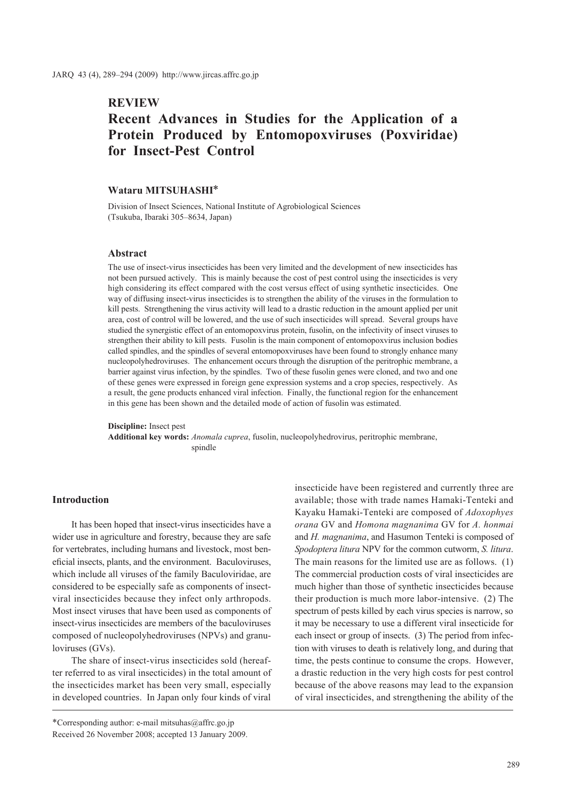## **REVIEW**

# **Recent Advances in Studies for the Application of a Protein Produced by Entomopoxviruses (Poxviridae) for Insect-Pest Control**

### **Wataru MITSUHASHI\***

Division of Insect Sciences, National Institute of Agrobiological Sciences (Tsukuba, Ibaraki 305–8634, Japan)

### **Abstract**

The use of insect-virus insecticides has been very limited and the development of new insecticides has not been pursued actively. This is mainly because the cost of pest control using the insecticides is very high considering its effect compared with the cost versus effect of using synthetic insecticides. One way of diffusing insect-virus insecticides is to strengthen the ability of the viruses in the formulation to kill pests. Strengthening the virus activity will lead to a drastic reduction in the amount applied per unit area, cost of control will be lowered, and the use of such insecticides will spread. Several groups have studied the synergistic effect of an entomopoxvirus protein, fusolin, on the infectivity of insect viruses to strengthen their ability to kill pests. Fusolin is the main component of entomopoxvirus inclusion bodies called spindles, and the spindles of several entomopoxviruses have been found to strongly enhance many nucleopolyhedroviruses. The enhancement occurs through the disruption of the peritrophic membrane, a barrier against virus infection, by the spindles. Two of these fusolin genes were cloned, and two and one of these genes were expressed in foreign gene expression systems and a crop species, respectively. As a result, the gene products enhanced viral infection. Finally, the functional region for the enhancement in this gene has been shown and the detailed mode of action of fusolin was estimated.

**Discipline:** Insect pest **Additional key words:** *Anomala cuprea*, fusolin, nucleopolyhedrovirus, peritrophic membrane, spindle

### **Introduction**

It has been hoped that insect-virus insecticides have a wider use in agriculture and forestry, because they are safe for vertebrates, including humans and livestock, most beneficial insects, plants, and the environment. Baculoviruses, which include all viruses of the family Baculoviridae, are considered to be especially safe as components of insectviral insecticides because they infect only arthropods. Most insect viruses that have been used as components of insect-virus insecticides are members of the baculoviruses composed of nucleopolyhedroviruses (NPVs) and granuloviruses (GVs).

The share of insect-virus insecticides sold (hereafter referred to as viral insecticides) in the total amount of the insecticides market has been very small, especially in developed countries. In Japan only four kinds of viral

\*Corresponding author: e-mail mitsuhas@affrc.go.jp Received 26 November 2008; accepted 13 January 2009. insecticide have been registered and currently three are available; those with trade names Hamaki-Tenteki and Kayaku Hamaki-Tenteki are composed of *Adoxophyes orana* GV and *Homona magnanima* GV for *A. honmai* and *H. magnanima*, and Hasumon Tenteki is composed of *Spodoptera litura* NPV for the common cutworm, *S. litura*. The main reasons for the limited use are as follows. (1) The commercial production costs of viral insecticides are much higher than those of synthetic insecticides because their production is much more labor-intensive. (2) The spectrum of pests killed by each virus species is narrow, so it may be necessary to use a different viral insecticide for each insect or group of insects. (3) The period from infection with viruses to death is relatively long, and during that time, the pests continue to consume the crops. However, a drastic reduction in the very high costs for pest control because of the above reasons may lead to the expansion of viral insecticides, and strengthening the ability of the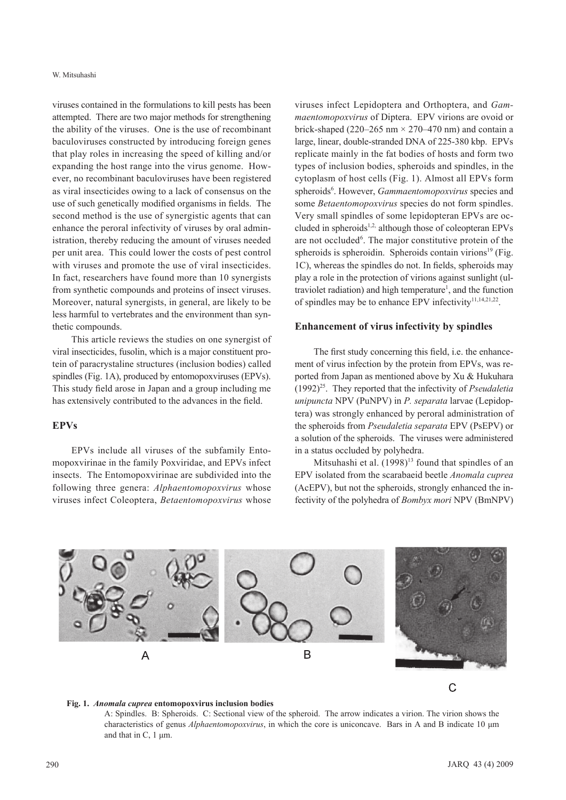viruses contained in the formulations to kill pests has been attempted. There are two major methods for strengthening the ability of the viruses. One is the use of recombinant baculoviruses constructed by introducing foreign genes that play roles in increasing the speed of killing and/or expanding the host range into the virus genome. However, no recombinant baculoviruses have been registered as viral insecticides owing to a lack of consensus on the use of such genetically modified organisms in fields. The second method is the use of synergistic agents that can enhance the peroral infectivity of viruses by oral administration, thereby reducing the amount of viruses needed per unit area. This could lower the costs of pest control with viruses and promote the use of viral insecticides. In fact, researchers have found more than 10 synergists from synthetic compounds and proteins of insect viruses. Moreover, natural synergists, in general, are likely to be less harmful to vertebrates and the environment than synthetic compounds.

This article reviews the studies on one synergist of viral insecticides, fusolin, which is a major constituent protein of paracrystaline structures (inclusion bodies) called spindles (Fig. 1A), produced by entomopoxviruses (EPVs). This study field arose in Japan and a group including me has extensively contributed to the advances in the field.

### **EPVs**

EPVs include all viruses of the subfamily Entomopoxvirinae in the family Poxviridae, and EPVs infect insects. The Entomopoxvirinae are subdivided into the following three genera: *Alphaentomopoxvirus* whose viruses infect Coleoptera, *Betaentomopoxvirus* whose viruses infect Lepidoptera and Orthoptera, and *Gammaentomopoxvirus* of Diptera. EPV virions are ovoid or brick-shaped (220–265 nm  $\times$  270–470 nm) and contain a large, linear, double-stranded DNA of 225-380 kbp. EPVs replicate mainly in the fat bodies of hosts and form two types of inclusion bodies, spheroids and spindles, in the cytoplasm of host cells (Fig. 1). Almost all EPVs form spheroids<sup>6</sup>. However, *Gammaentomopoxvirus* species and some *Betaentomopoxvirus* species do not form spindles. Very small spindles of some lepidopteran EPVs are occluded in spheroids<sup>1,2,</sup> although those of coleopteran EPVs are not occluded<sup>6</sup>. The major constitutive protein of the spheroids is spheroidin. Spheroids contain virions $^{19}$  (Fig. 1C), whereas the spindles do not. In fields, spheroids may play a role in the protection of virions against sunlight (ultraviolet radiation) and high temperature<sup>1</sup>, and the function of spindles may be to enhance EPV infectivity $11,14,21,22$ .

### **Enhancement of virus infectivity by spindles**

The first study concerning this field, i.e. the enhancement of virus infection by the protein from EPVs, was reported from Japan as mentioned above by Xu & Hukuhara (1992)25. They reported that the infectivity of *Pseudaletia unipuncta* NPV (PuNPV) in *P. separata* larvae (Lepidoptera) was strongly enhanced by peroral administration of the spheroids from *Pseudaletia separata* EPV (PsEPV) or a solution of the spheroids. The viruses were administered in a status occluded by polyhedra.

Mitsuhashi et al.  $(1998)^{13}$  found that spindles of an EPV isolated from the scarabaeid beetle *Anomala cuprea* (AcEPV), but not the spheroids, strongly enhanced the infectivity of the polyhedra of *Bombyx mori* NPV (BmNPV)



#### **Fig. 1.** *Anomala cuprea* **entomopoxvirus inclusion bodies**

A: Spindles. B: Spheroids. C: Sectional view of the spheroid. The arrow indicates a virion. The virion shows the characteristics of genus *Alphaentomopoxvirus*, in which the core is uniconcave. Bars in A and B indicate 10 μm and that in C, 1 μm.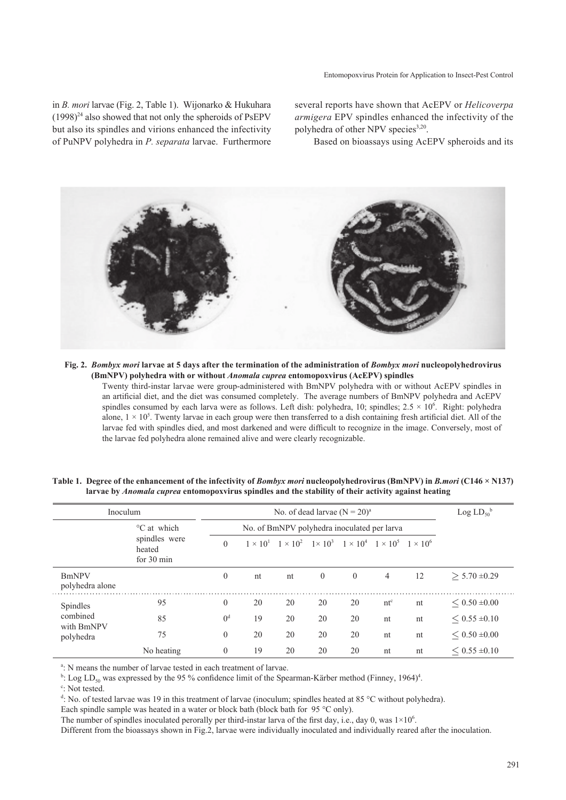Entomopoxvirus Protein for Application to Insect-Pest Control

in *B. mori* larvae (Fig. 2, Table 1). Wijonarko & Hukuhara  $(1998)^{24}$  also showed that not only the spheroids of PsEPV but also its spindles and virions enhanced the infectivity of PuNPV polyhedra in *P. separata* larvae. Furthermore

several reports have shown that AcEPV or *Helicoverpa armigera* EPV spindles enhanced the infectivity of the polyhedra of other NPV species<sup>3,20</sup>.

Based on bioassays using AcEPV spheroids and its



**Fig. 2.** *Bombyx mori* **larvae at 5 days after the termination of the administration of** *Bombyx mori* **nucleopolyhedrovirus (BmNPV) polyhedra with or without** *Anomala cuprea* **entomopoxvirus (AcEPV) spindles**

Twenty third-instar larvae were group-administered with BmNPV polyhedra with or without AcEPV spindles in an artificial diet, and the diet was consumed completely. The average numbers of BmNPV polyhedra and AcEPV spindles consumed by each larva were as follows. Left dish: polyhedra, 10; spindles;  $2.5 \times 10^6$ . Right: polyhedra alone,  $1 \times 10^5$ . Twenty larvae in each group were then transferred to a dish containing fresh artificial diet. All of the larvae fed with spindles died, and most darkened and were difficult to recognize in the image. Conversely, most of the larvae fed polyhedra alone remained alive and were clearly recognizable.

| Inoculum                                        |                                                      | No. of dead larvae $(N = 20)^a$             |    |    |                |                                                                                                 |                |    | Log $LD_{50}^{\ b}$ |
|-------------------------------------------------|------------------------------------------------------|---------------------------------------------|----|----|----------------|-------------------------------------------------------------------------------------------------|----------------|----|---------------------|
|                                                 | °C at which<br>spindles were<br>heated<br>for 30 min | No. of BmNPV polyhedra inoculated per larva |    |    |                |                                                                                                 |                |    |                     |
|                                                 |                                                      | $\theta$                                    |    |    |                | $1 \times 10^1$ $1 \times 10^2$ $1 \times 10^3$ $1 \times 10^4$ $1 \times 10^5$ $1 \times 10^6$ |                |    |                     |
| <b>BmNPV</b><br>polyhedra alone                 |                                                      | $\overline{0}$                              | nt | nt | $\overline{0}$ | $\overline{0}$                                                                                  | $\overline{4}$ | 12 | $> 5.70 \pm 0.29$   |
| Spindles<br>combined<br>with BmNPV<br>polyhedra | 95                                                   | $\overline{0}$                              | 20 | 20 | 20             | 20                                                                                              | $nt^c$         | nt | $< 0.50 \pm 0.00$   |
|                                                 | 85                                                   | 0 <sup>d</sup>                              | 19 | 20 | 20             | 20                                                                                              | nt             | nt | $< 0.55 \pm 0.10$   |
|                                                 | 75                                                   | $\overline{0}$                              | 20 | 20 | 20             | 20                                                                                              | nt             | nt | $< 0.50 \pm 0.00$   |
|                                                 | No heating                                           | $\overline{0}$                              | 19 | 20 | 20             | 20                                                                                              | nt             | nt | $< 0.55 \pm 0.10$   |

**Table 1. Degree of the enhancement of the infectivity of** *Bombyx mori* **nucleopolyhedrovirus (BmNPV) in** *B.mori* **(C146 × N137) larvae by** *Anomala cuprea* **entomopoxvirus spindles and the stability of their activity against heating**

<sup>a</sup>: N means the number of larvae tested in each treatment of larvae.

<sup>b</sup>: Log LD<sub>50</sub> was expressed by the 95 % confidence limit of the Spearman-Kärber method (Finney, 1964)<sup>4</sup>.

<sup>c</sup>: Not tested.

d : No. of tested larvae was 19 in this treatment of larvae (inoculum; spindles heated at 85 °C without polyhedra).

Each spindle sample was heated in a water or block bath (block bath for 95 °C only).

The number of spindles inoculated perorally per third-instar larva of the first day, i.e., day 0, was  $1\times10^6$ .

Different from the bioassays shown in Fig.2, larvae were individually inoculated and individually reared after the inoculation.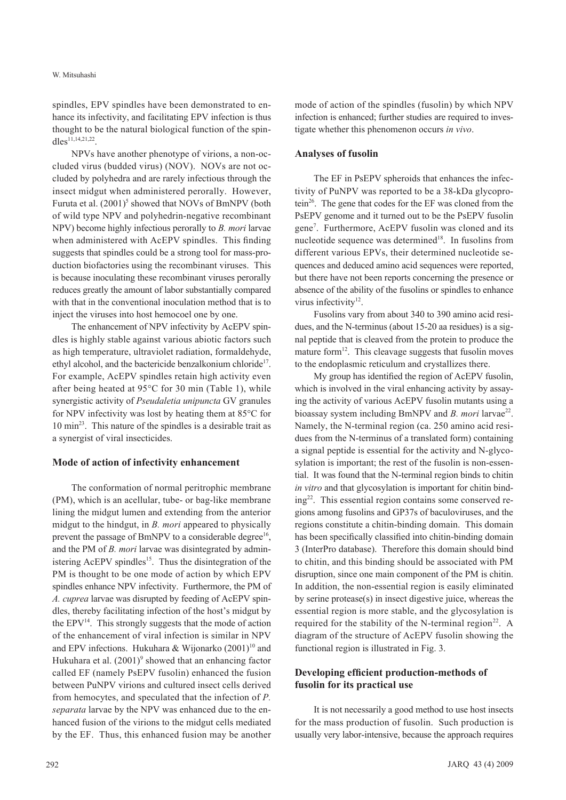spindles, EPV spindles have been demonstrated to enhance its infectivity, and facilitating EPV infection is thus thought to be the natural biological function of the spin $dles^{11,14,21,22}$ 

NPVs have another phenotype of virions, a non-occluded virus (budded virus) (NOV). NOVs are not occluded by polyhedra and are rarely infectious through the insect midgut when administered perorally. However, Furuta et al. (2001)<sup>5</sup> showed that NOVs of BmNPV (both of wild type NPV and polyhedrin-negative recombinant NPV) become highly infectious perorally to *B. mori* larvae when administered with AcEPV spindles. This finding suggests that spindles could be a strong tool for mass-production biofactories using the recombinant viruses. This is because inoculating these recombinant viruses perorally reduces greatly the amount of labor substantially compared with that in the conventional inoculation method that is to inject the viruses into host hemocoel one by one.

The enhancement of NPV infectivity by AcEPV spindles is highly stable against various abiotic factors such as high temperature, ultraviolet radiation, formaldehyde, ethyl alcohol, and the bactericide benzalkonium chloride<sup>17</sup>. For example, AcEPV spindles retain high activity even after being heated at 95°C for 30 min (Table 1), while synergistic activity of *Pseudaletia unipuncta* GV granules for NPV infectivity was lost by heating them at 85°C for 10 min23. This nature of the spindles is a desirable trait as a synergist of viral insecticides.

### **Mode of action of infectivity enhancement**

The conformation of normal peritrophic membrane (PM), which is an acellular, tube- or bag-like membrane lining the midgut lumen and extending from the anterior midgut to the hindgut, in *B. mori* appeared to physically prevent the passage of BmNPV to a considerable degree<sup>16</sup>, and the PM of *B. mori* larvae was disintegrated by administering  $AcEPV$  spindles<sup>15</sup>. Thus the disintegration of the PM is thought to be one mode of action by which EPV spindles enhance NPV infectivity. Furthermore, the PM of *A. cuprea* larvae was disrupted by feeding of AcEPV spindles, thereby facilitating infection of the host's midgut by the  $EPV<sup>14</sup>$ . This strongly suggests that the mode of action of the enhancement of viral infection is similar in NPV and EPV infections. Hukuhara & Wijonarko  $(2001)^{10}$  and Hukuhara et al.  $(2001)^9$  showed that an enhancing factor called EF (namely PsEPV fusolin) enhanced the fusion between PuNPV virions and cultured insect cells derived from hemocytes, and speculated that the infection of *P. separata* larvae by the NPV was enhanced due to the enhanced fusion of the virions to the midgut cells mediated by the EF. Thus, this enhanced fusion may be another

mode of action of the spindles (fusolin) by which NPV infection is enhanced; further studies are required to investigate whether this phenomenon occurs *in vivo*.

#### **Analyses of fusolin**

The EF in PsEPV spheroids that enhances the infectivity of PuNPV was reported to be a 38-kDa glycoprotein<sup>26</sup>. The gene that codes for the EF was cloned from the PsEPV genome and it turned out to be the PsEPV fusolin gene7 . Furthermore, AcEPV fusolin was cloned and its nucleotide sequence was determined<sup>18</sup>. In fusolins from different various EPVs, their determined nucleotide sequences and deduced amino acid sequences were reported, but there have not been reports concerning the presence or absence of the ability of the fusolins or spindles to enhance virus infectivity $12$ .

Fusolins vary from about 340 to 390 amino acid residues, and the N-terminus (about 15-20 aa residues) is a signal peptide that is cleaved from the protein to produce the mature form<sup>12</sup>. This cleavage suggests that fusolin moves to the endoplasmic reticulum and crystallizes there.

My group has identified the region of AcEPV fusolin, which is involved in the viral enhancing activity by assaying the activity of various AcEPV fusolin mutants using a bioassay system including BmNPV and *B. mori* larvae<sup>22</sup>. Namely, the N-terminal region (ca. 250 amino acid residues from the N-terminus of a translated form) containing a signal peptide is essential for the activity and N-glycosylation is important; the rest of the fusolin is non-essential. It was found that the N-terminal region binds to chitin *in vitro* and that glycosylation is important for chitin binding22. This essential region contains some conserved regions among fusolins and GP37s of baculoviruses, and the regions constitute a chitin-binding domain. This domain has been specifically classified into chitin-binding domain 3 (InterPro database). Therefore this domain should bind to chitin, and this binding should be associated with PM disruption, since one main component of the PM is chitin. In addition, the non-essential region is easily eliminated by serine protease(s) in insect digestive juice, whereas the essential region is more stable, and the glycosylation is required for the stability of the N-terminal region<sup>22</sup>. A diagram of the structure of AcEPV fusolin showing the functional region is illustrated in Fig. 3.

### **Developing efficient production-methods of fusolin for its practical use**

It is not necessarily a good method to use host insects for the mass production of fusolin. Such production is usually very labor-intensive, because the approach requires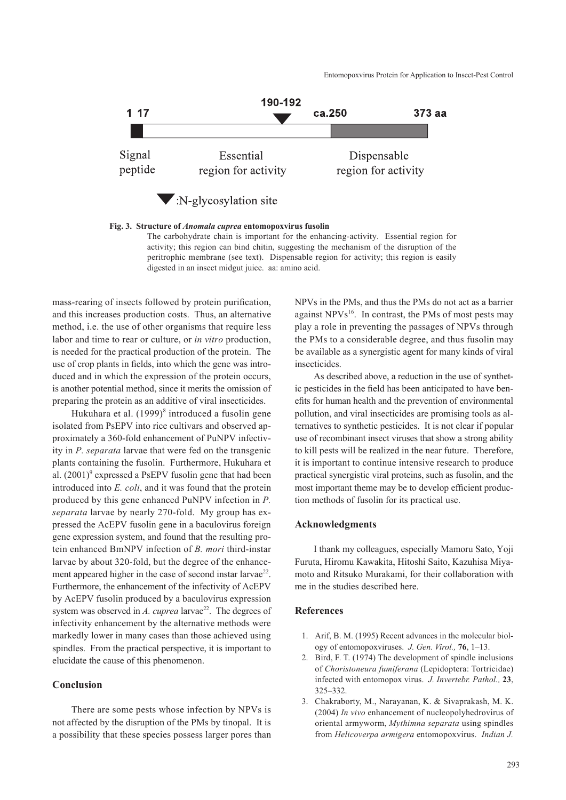

**Fig. 3. Structure of** *Anomala cuprea* **entomopoxvirus fusolin**

The carbohydrate chain is important for the enhancing-activity. Essential region for activity; this region can bind chitin, suggesting the mechanism of the disruption of the peritrophic membrane (see text). Dispensable region for activity; this region is easily digested in an insect midgut juice. aa: amino acid.

mass-rearing of insects followed by protein purification, and this increases production costs. Thus, an alternative method, i.e. the use of other organisms that require less labor and time to rear or culture, or *in vitro* production, is needed for the practical production of the protein. The use of crop plants in fields, into which the gene was introduced and in which the expression of the protein occurs, is another potential method, since it merits the omission of preparing the protein as an additive of viral insecticides.

Hukuhara et al. (1999)<sup>8</sup> introduced a fusolin gene isolated from PsEPV into rice cultivars and observed approximately a 360-fold enhancement of PuNPV infectivity in *P. separata* larvae that were fed on the transgenic plants containing the fusolin. Furthermore, Hukuhara et al.  $(2001)^9$  expressed a PsEPV fusolin gene that had been introduced into *E. coli*, and it was found that the protein produced by this gene enhanced PuNPV infection in *P. separata* larvae by nearly 270-fold. My group has expressed the AcEPV fusolin gene in a baculovirus foreign gene expression system, and found that the resulting protein enhanced BmNPV infection of *B. mori* third-instar larvae by about 320-fold, but the degree of the enhancement appeared higher in the case of second instar larvae<sup>22</sup>. Furthermore, the enhancement of the infectivity of AcEPV by AcEPV fusolin produced by a baculovirus expression system was observed in *A. cuprea* larvae<sup>22</sup>. The degrees of infectivity enhancement by the alternative methods were markedly lower in many cases than those achieved using spindles. From the practical perspective, it is important to elucidate the cause of this phenomenon.

### **Conclusion**

There are some pests whose infection by NPVs is not affected by the disruption of the PMs by tinopal. It is a possibility that these species possess larger pores than

NPVs in the PMs, and thus the PMs do not act as a barrier against  $NPVs^{16}$ . In contrast, the PMs of most pests may play a role in preventing the passages of NPVs through the PMs to a considerable degree, and thus fusolin may be available as a synergistic agent for many kinds of viral insecticides.

As described above, a reduction in the use of synthetic pesticides in the field has been anticipated to have benefits for human health and the prevention of environmental pollution, and viral insecticides are promising tools as alternatives to synthetic pesticides. It is not clear if popular use of recombinant insect viruses that show a strong ability to kill pests will be realized in the near future. Therefore, it is important to continue intensive research to produce practical synergistic viral proteins, such as fusolin, and the most important theme may be to develop efficient production methods of fusolin for its practical use.

### **Acknowledgments**

I thank my colleagues, especially Mamoru Sato, Yoji Furuta, Hiromu Kawakita, Hitoshi Saito, Kazuhisa Miyamoto and Ritsuko Murakami, for their collaboration with me in the studies described here.

### **References**

- 1. Arif, B. M. (1995) Recent advances in the molecular biology of entomopoxviruses. *J. Gen. Virol.,* **76**, 1–13.
- 2. Bird, F. T. (1974) The development of spindle inclusions of *Choristoneura fumiferana* (Lepidoptera: Tortricidae) infected with entomopox virus. *J. Invertebr. Pathol.,* **23**, 325–332.
- 3. Chakraborty, M., Narayanan, K. & Sivaprakash, M. K. (2004) *In vivo* enhancement of nucleopolyhedrovirus of oriental armyworm, *Mythimna separata* using spindles from *Helicoverpa armigera* entomopoxvirus. *Indian J.*